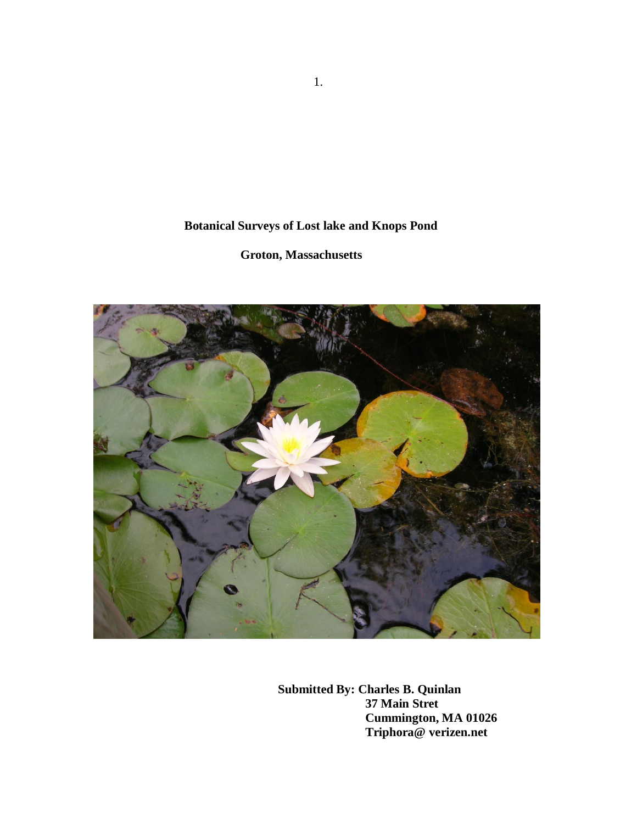# **Botanical Surveys of Lost lake and Knops Pond**

# **Groton, Massachusetts**



 **Submitted By: Charles B. Quinlan 37 Main Stret Cummington, MA 01026 Triphora@ verizen.net**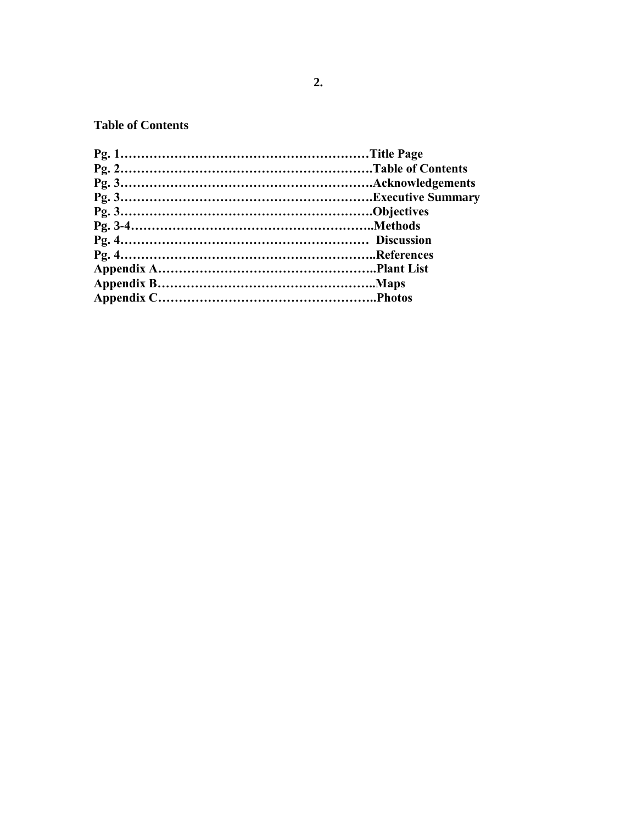## **Table of Contents**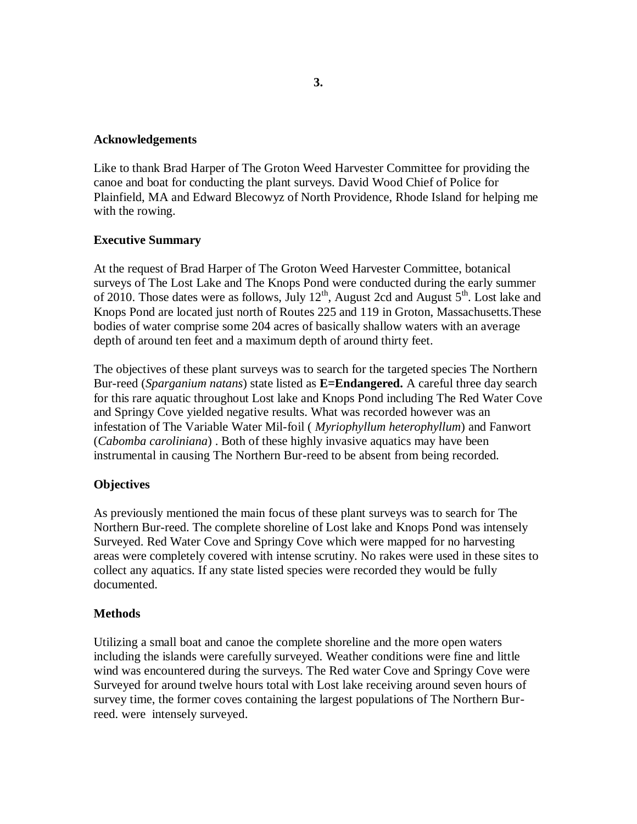#### **Acknowledgements**

Like to thank Brad Harper of The Groton Weed Harvester Committee for providing the canoe and boat for conducting the plant surveys. David Wood Chief of Police for Plainfield, MA and Edward Blecowyz of North Providence, Rhode Island for helping me with the rowing.

### **Executive Summary**

At the request of Brad Harper of The Groton Weed Harvester Committee, botanical surveys of The Lost Lake and The Knops Pond were conducted during the early summer of 2010. Those dates were as follows, July  $12^{th}$ , August 2cd and August  $5^{th}$ . Lost lake and Knops Pond are located just north of Routes 225 and 119 in Groton, Massachusetts.These bodies of water comprise some 204 acres of basically shallow waters with an average depth of around ten feet and a maximum depth of around thirty feet.

The objectives of these plant surveys was to search for the targeted species The Northern Bur-reed (*Sparganium natans*) state listed as **E=Endangered.** A careful three day search for this rare aquatic throughout Lost lake and Knops Pond including The Red Water Cove and Springy Cove yielded negative results. What was recorded however was an infestation of The Variable Water Mil-foil ( *Myriophyllum heterophyllum*) and Fanwort (*Cabomba caroliniana*) . Both of these highly invasive aquatics may have been instrumental in causing The Northern Bur-reed to be absent from being recorded.

### **Objectives**

As previously mentioned the main focus of these plant surveys was to search for The Northern Bur-reed. The complete shoreline of Lost lake and Knops Pond was intensely Surveyed. Red Water Cove and Springy Cove which were mapped for no harvesting areas were completely covered with intense scrutiny. No rakes were used in these sites to collect any aquatics. If any state listed species were recorded they would be fully documented.

### **Methods**

Utilizing a small boat and canoe the complete shoreline and the more open waters including the islands were carefully surveyed. Weather conditions were fine and little wind was encountered during the surveys. The Red water Cove and Springy Cove were Surveyed for around twelve hours total with Lost lake receiving around seven hours of survey time, the former coves containing the largest populations of The Northern Burreed. were intensely surveyed.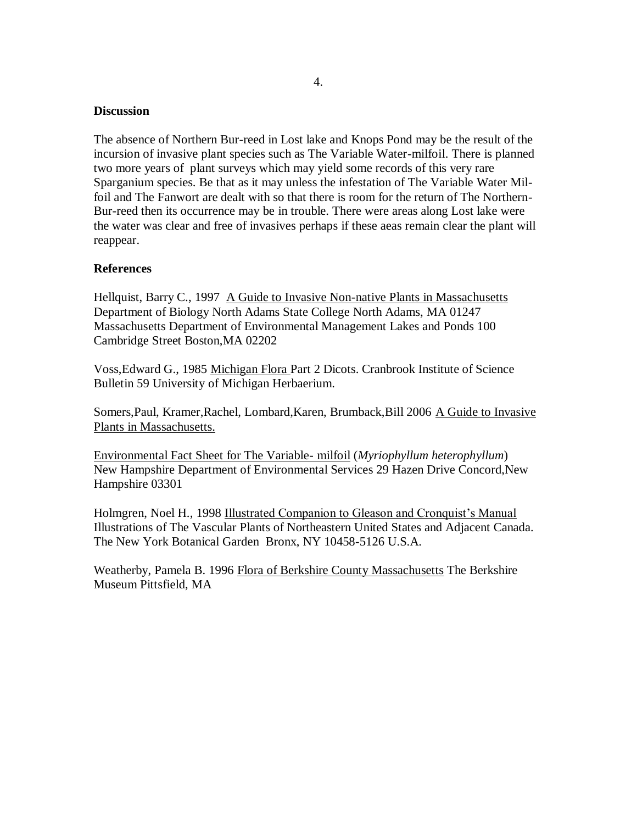#### **Discussion**

The absence of Northern Bur-reed in Lost lake and Knops Pond may be the result of the incursion of invasive plant species such as The Variable Water-milfoil. There is planned two more years of plant surveys which may yield some records of this very rare Sparganium species. Be that as it may unless the infestation of The Variable Water Milfoil and The Fanwort are dealt with so that there is room for the return of The Northern-Bur-reed then its occurrence may be in trouble. There were areas along Lost lake were the water was clear and free of invasives perhaps if these aeas remain clear the plant will reappear.

#### **References**

Hellquist, Barry C., 1997 A Guide to Invasive Non-native Plants in Massachusetts Department of Biology North Adams State College North Adams, MA 01247 Massachusetts Department of Environmental Management Lakes and Ponds 100 Cambridge Street Boston,MA 02202

Voss,Edward G., 1985 Michigan Flora Part 2 Dicots. Cranbrook Institute of Science Bulletin 59 University of Michigan Herbaerium.

Somers,Paul, Kramer,Rachel, Lombard,Karen, Brumback,Bill 2006 A Guide to Invasive Plants in Massachusetts.

Environmental Fact Sheet for The Variable- milfoil (*Myriophyllum heterophyllum*) New Hampshire Department of Environmental Services 29 Hazen Drive Concord,New Hampshire 03301

Holmgren, Noel H., 1998 Illustrated Companion to Gleason and Cronquist's Manual Illustrations of The Vascular Plants of Northeastern United States and Adjacent Canada. The New York Botanical Garden Bronx, NY 10458-5126 U.S.A.

Weatherby, Pamela B. 1996 Flora of Berkshire County Massachusetts The Berkshire Museum Pittsfield, MA